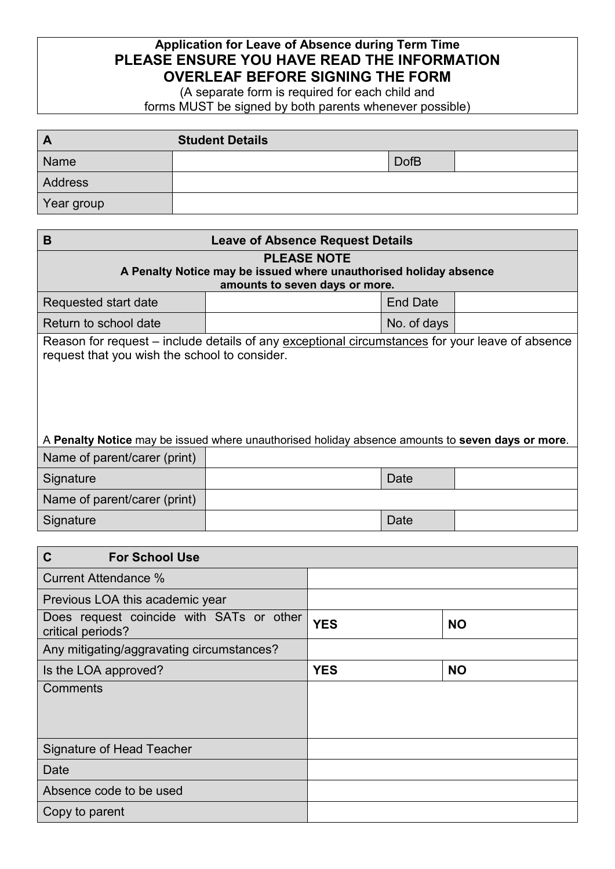## **Application for Leave of Absence during Term Time PLEASE ENSURE YOU HAVE READ THE INFORMATION OVERLEAF BEFORE SIGNING THE FORM**

(A separate form is required for each child and forms MUST be signed by both parents whenever possible)

| $\mathbf{A}$   | <b>Student Details</b> |             |  |
|----------------|------------------------|-------------|--|
| Name           |                        | <b>DofB</b> |  |
| <b>Address</b> |                        |             |  |
| Year group     |                        |             |  |

| B<br><b>Leave of Absence Request Details</b>                                                                                                                                                                                                         |  |                 |  |  |  |  |
|------------------------------------------------------------------------------------------------------------------------------------------------------------------------------------------------------------------------------------------------------|--|-----------------|--|--|--|--|
| <b>PLEASE NOTE</b><br>A Penalty Notice may be issued where unauthorised holiday absence<br>amounts to seven days or more.                                                                                                                            |  |                 |  |  |  |  |
| Requested start date                                                                                                                                                                                                                                 |  | <b>End Date</b> |  |  |  |  |
| Return to school date                                                                                                                                                                                                                                |  | No. of days     |  |  |  |  |
| Reason for request – include details of any exceptional circumstances for your leave of absence<br>request that you wish the school to consider.<br>A Penalty Notice may be issued where unauthorised holiday absence amounts to seven days or more. |  |                 |  |  |  |  |
| Name of parent/carer (print)                                                                                                                                                                                                                         |  |                 |  |  |  |  |
| Signature                                                                                                                                                                                                                                            |  | Date            |  |  |  |  |
| Name of parent/carer (print)                                                                                                                                                                                                                         |  |                 |  |  |  |  |
| Signature                                                                                                                                                                                                                                            |  | Date            |  |  |  |  |

| C<br><b>For School Use</b>                                    |            |           |
|---------------------------------------------------------------|------------|-----------|
| <b>Current Attendance %</b>                                   |            |           |
| Previous LOA this academic year                               |            |           |
| Does request coincide with SATs or other<br>critical periods? | <b>YES</b> | <b>NO</b> |
| Any mitigating/aggravating circumstances?                     |            |           |
| Is the LOA approved?                                          | <b>YES</b> | <b>NO</b> |
| Comments                                                      |            |           |
| Signature of Head Teacher                                     |            |           |
| Date                                                          |            |           |
| Absence code to be used                                       |            |           |
| Copy to parent                                                |            |           |